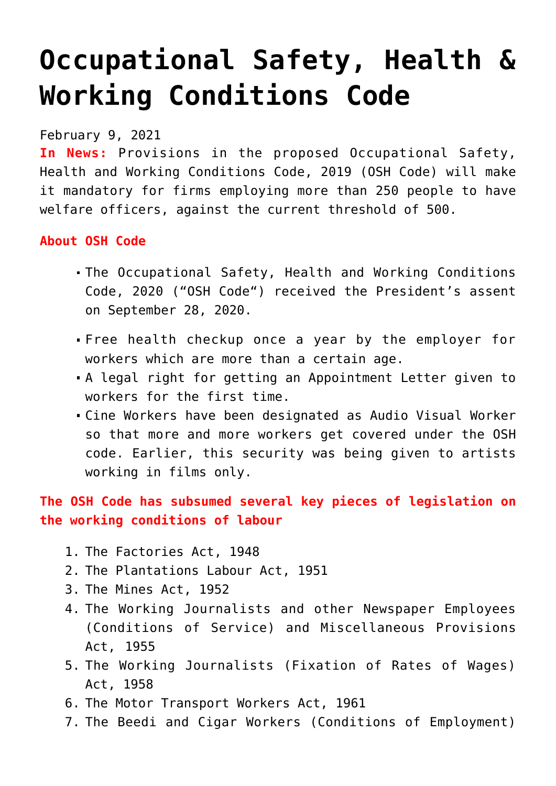## **[Occupational Safety, Health &](https://journalsofindia.com/occupational-safety-health-working-conditions-code/) [Working Conditions Code](https://journalsofindia.com/occupational-safety-health-working-conditions-code/)**

February 9, 2021

**In News:** Provisions in the proposed Occupational Safety, Health and Working Conditions Code, 2019 (OSH Code) will make it mandatory for firms employing more than 250 people to have welfare officers, against the current threshold of 500.

## **About OSH Code**

- The Occupational Safety, Health and Working Conditions Code, 2020 ("OSH Code") received the President's assent on September 28, 2020.
- Free health checkup once a year by the employer for workers which are more than a certain age.
- A legal right for getting an Appointment Letter given to workers for the first time.
- Cine Workers have been designated as Audio Visual Worker so that more and more workers get covered under the OSH code. Earlier, this security was being given to artists working in films only.

## **The OSH Code has subsumed several key pieces of legislation on the working conditions of labour**

- 1. The Factories Act, 1948
- 2. The Plantations Labour Act, 1951
- 3. The Mines Act, 1952
- 4. The Working Journalists and other Newspaper Employees (Conditions of Service) and Miscellaneous Provisions Act, 1955
- 5. The Working Journalists (Fixation of Rates of Wages) Act, 1958
- 6. The Motor Transport Workers Act, 1961
- 7. The Beedi and Cigar Workers (Conditions of Employment)